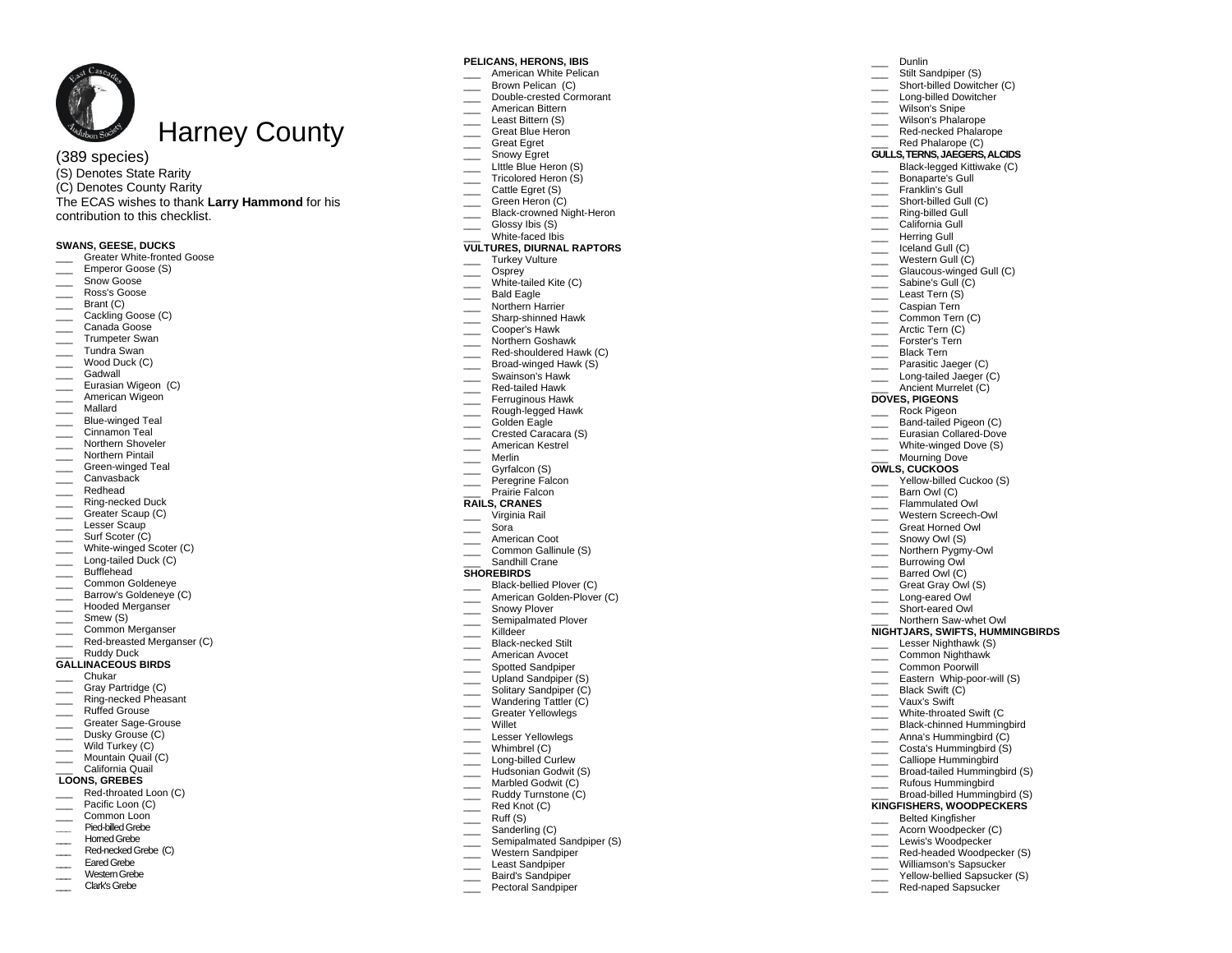

# ( 3 8 9 species)

(S) Denotes State Rarity (C) Denotes County Rarity The ECAS wishes to thank **Larry Hammond** for his contribution to this checklist.

### **SWANS, GEESE, DUCKS**

- \_\_\_ Greater White -fronted Goose
- \_\_\_ Emperor Goose (S )
- \_\_\_ Snow Goose
- \_\_\_ Ross's Goose
- Brant (C)
- \_\_\_ Cackling Goose (C)
- \_\_\_ Canada Goose
- Trumpeter Swan
- \_\_\_ Tundra Swan
- \_\_\_\_ Wood Duck (C)
- \_\_\_ Gadwall
- **Eurasian Wigeon (C)** American Wigeon
- 
- \_\_\_ Mallard
- \_\_\_ Blue -winged Teal
- Cinnamon Teal
- \_\_\_ Northern Shoveler
- Northern Pintail
- \_\_\_ Green -winged Teal
- \_\_\_ Canvasback
- \_\_\_ Redhead
- \_\_\_ Ring -necked Duck
- \_\_\_ Greater Scaup (C)
- \_\_\_ Lesser Scaup
- \_\_\_\_\_ Surf Scoter (C)
- \_\_\_ White -winged Scoter (C)
- \_\_\_ Long -tailed Duck (C)
- \_\_\_ Bufflehead
- \_\_\_ Common Goldeneye
- \_\_\_ Barrow's Goldeneye (C)
- \_\_\_ Hooded Merganser
- Smew (S)
- \_\_\_ Common Merganser
- \_\_\_ Red -breasted Merganser (C)
- \_\_\_ Ruddy Duck

### **GALLINACEOUS BIRDS**

- \_\_\_ Chukar
- Gray Partridge (C)
- \_\_\_ Ring -necked Pheasant
- Ruffed Grouse
- \_\_\_ Greater Sage -Grouse
- Dusky Grouse (C)
- Wild Turkey (C)
- Mountain Quail (C)
- \_\_\_ California Quail

# **LOONS, GREBES**

- \_\_\_ Red -throated Loon (C)
- Pacific Loon (C) Common Loon
- 
- **\_\_\_** Pied -billed Grebe
- Homed Grebe
- \_\_\_ Red -necked Grebe (C)
- \_\_\_ Eared Grebe
- Western Grebe
- \_\_\_ Clark's Grebe

### **PELICANS, HERONS, IBIS**

American White Pelican Brown Pelican (C)

\_\_\_ Dunlin Stilt Sandpiper (S) \_\_\_ Short -billed Dowitcher (C) \_\_\_ Long -billed Dowitcher Wilson's Snipe Wilson's Phalarope \_\_\_ Red -necked Phalarope Red Phalarope (C) **GULLS, TERNS, JAEGERS, ALCIDS** \_\_\_ Black -legged Kittiwake (C) Bonaparte's Gull Franklin's Gull \_\_\_ Short -billed Gull (C) \_\_\_ Ring -billed Gull California Gull \_\_\_ Herring Gull Iceland Gull (C) Western Gull (C) \_\_\_ Glaucous -winged Gull (C) Sabine's Gull (C) \_\_\_ Least Tern (S) Caspian Tern Common Tern (C) Arctic Tern (C) Forster's Tern Black Tern Parasitic Jaeger (C) \_\_\_ Long -tailed Jaeger (C) Ancient Murrelet (C)

**DOVES, PIGEONS** Rock Pigeon \_\_\_ Band -tailed Pigeon (C) \_\_\_ Eurasian Collared -Dove \_\_\_ White -winged Dove (S) Mourning Dove **OWLS, CUCKOOS** \_\_\_ Yellow -billed Cuckoo (S) Barn Owl (C) Flammulated Owl \_\_\_ Western Screech -Owl \_\_\_ Great Horned Owl \_\_\_ Snowy Owl (S) \_\_\_ Northern Pygmy-Owl \_\_\_ Burrowing Owl Barred Owl (C)

 $\overline{\phantom{a}}$ 

G reat Gray Owl (S) \_\_\_ Long -eared Owl \_\_\_ Short -eared Owl \_\_\_ Northern Saw -whet Owl **NIGHTJARS, SWIFTS, HUMMINGBIRDS**

\_\_\_ Lesser Nighthawk (S) Common Nighthawk \_\_\_ Common Po orwill \_\_\_ Eastern Whip -poor -will (S) Black Swift (C) \_\_\_ Vaux's Swift \_\_\_ White -throated Swift (C \_\_\_ Black -chinned Hummingbird \_\_\_ Anna's Hummingbird (C) \_\_\_ Costa's Hummingbird ( S) Calliope Hummingbird \_\_\_ Broad -tailed Hummingbird (S) \_\_\_\_ Rufous Hummingbird \_\_\_ Broad -billed Hummingbird (S) **KINGFISHERS, WOODPECKERS** \_\_\_ Belted Kingfisher Acorn Woodpecker (C) \_\_\_\_ Lewis's Woodpecker \_\_\_ Red -headed Woodpecker (S) Williamson's Sapsucker \_\_\_ Yellow -bellied Sapsucker (S) \_\_\_ Red -naped Sapsucker

- 
- \_\_\_ Double -crested Cormorant \_\_\_ American Bittern
- Least Bittern (S)
- Great Blue Heron
- \_\_\_ Great Egret
- Snowy Egret
- Little Blue Heron (S)
- Tricolored Heron (S)
- \_\_\_ Cattle Egret (S)
- \_\_\_ Green Heron (C)
- \_\_\_ Black-crowned Night-Heron
- Glossy Ibis (S)
- \_\_\_ White -faced Ibis

#### **VULTURES, DIURNAL RAPTORS**

# \_\_\_ Turkey Vulture

- \_\_\_ Osprey
- \_\_\_ White -tailed Kite (C)
- Bald Eagle
- Northern Harrier
- \_\_\_ Sharp -shinned Hawk
- \_\_\_ Cooper's Hawk
- Northern Goshawk
- \_\_\_ Red -shouldered Hawk (C)
- \_\_\_ Broad -winged Hawk (S)
- \_\_\_ Swainson's Hawk
- \_\_\_ Red -tailed Hawk
- **EXECUTE:** Ferruginous Hawk
- \_\_\_ Rough -legged Hawk Golden Eagle
- 
- Crested Caracara (S) \_\_\_ American Kestrel
- \_\_\_ Merlin
- $\equiv$  Gyrfalcon (S)
- Peregrine Falcon Prairie Falcon

# **RAILS, CRANES**

\_\_\_ Virginia Rail

**SHOREBIRDS**

- \_\_\_ Sora
- \_\_\_ American Coot
- Common Gallinule (S)

\_\_\_ Black -bellied Plover (C) \_\_\_ American Golden -Plover (C) Snowy Plover Semipalmated Plover Killdeer \_\_\_ Black -necked Stilt \_\_\_\_<br>American Avocet Spotted Sandpiper Upland Sandpiper (S) Solitary Sandpiper (C) Wandering Tattler (C) \_\_\_ Greater Yellowlegs \_\_\_ Willet Lesser Yellowlegs Whimbrel (C) \_\_\_ Long -billed Curlew Hudsonian Godwit (S) Marbled Godwit (C) Ruddy Turnstone (C) Red Knot (C)  $\frac{\ }{}$  Ruff (S) Sanderling (C)

> Semipalmated Sandpiper (S) Western Sandpiper Least Sandpiper Baird's Sandpiper Pectoral Sandpiper

Sandhill Crane